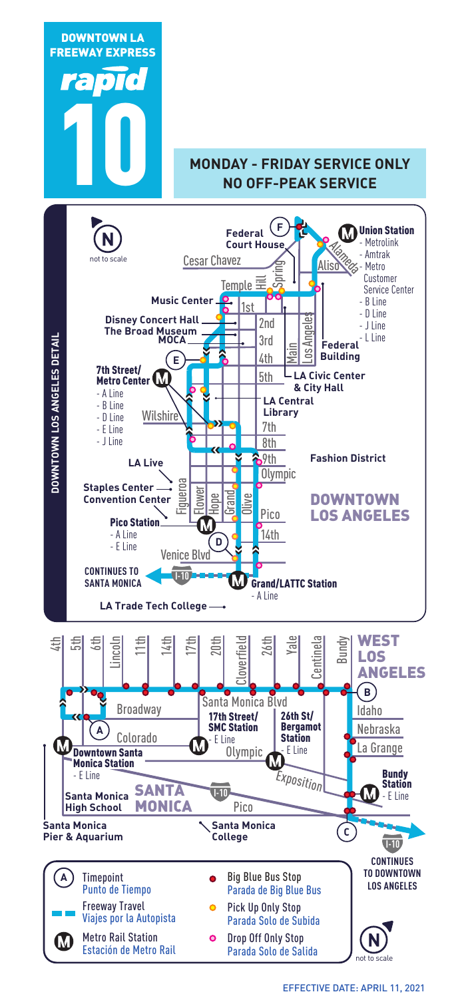